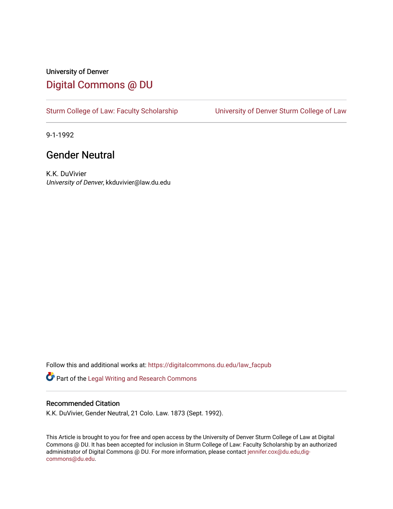## University of Denver [Digital Commons @ DU](https://digitalcommons.du.edu/)

[Sturm College of Law: Faculty Scholarship](https://digitalcommons.du.edu/law_facpub) [University of Denver Sturm College of Law](https://digitalcommons.du.edu/denver_law) 

9-1-1992

## Gender Neutral

K.K. DuVivier University of Denver, kkduvivier@law.du.edu

Follow this and additional works at: [https://digitalcommons.du.edu/law\\_facpub](https://digitalcommons.du.edu/law_facpub?utm_source=digitalcommons.du.edu%2Flaw_facpub%2F341&utm_medium=PDF&utm_campaign=PDFCoverPages) 

Part of the [Legal Writing and Research Commons](http://network.bepress.com/hgg/discipline/614?utm_source=digitalcommons.du.edu%2Flaw_facpub%2F341&utm_medium=PDF&utm_campaign=PDFCoverPages) 

### Recommended Citation

K.K. DuVivier, Gender Neutral, 21 Colo. Law. 1873 (Sept. 1992).

This Article is brought to you for free and open access by the University of Denver Sturm College of Law at Digital Commons @ DU. It has been accepted for inclusion in Sturm College of Law: Faculty Scholarship by an authorized administrator of Digital Commons @ DU. For more information, please contact [jennifer.cox@du.edu,dig](mailto:jennifer.cox@du.edu,dig-commons@du.edu)[commons@du.edu.](mailto:jennifer.cox@du.edu,dig-commons@du.edu)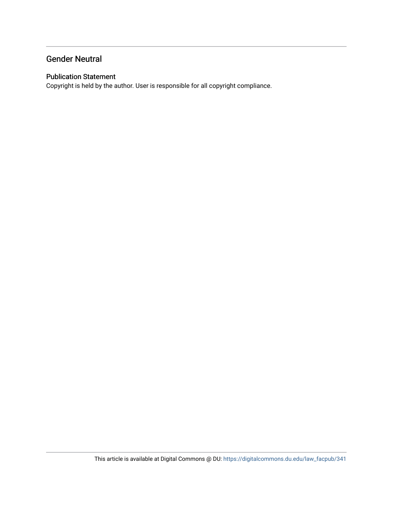## Gender Neutral

## Publication Statement

Copyright is held by the author. User is responsible for all copyright compliance.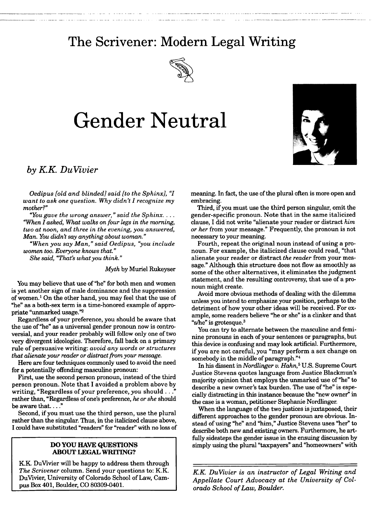## **The Scrivener: Modern Legal Writing**



# **Gender Neutral**



## *by KK DuVivier*

*Oedipus [old and blinded] said [to the Sphinx], "I want to ask one question. Why didn't I recognize my mother?"*

*"You gave the wrong answer," said the Sphinx.... "When I asked, What walks on four legs in the morning, two at noon, and three in the evening, you answered, Man. You didn't say anything about woman."*

*"When you say Man," said Oedipus, "you include women too. Everyone knows that."*

*She* said, *"That's what you think."*

*Myth* by Muriel Rukeyser

You may believe that use of "he" for both men and women is yet another sign of male dominance and the suppression of women.1 On the other hand, you may feel that the use of "he" as a both-sex term is a time-honored example of appropriate "unmarked usage."2

Regardless of your preference, you should be aware that the use of "he" as a universal gender pronoun now is controversial, and your reader probably will follow only one of two very divergent ideologies. Therefore, fall back on a primary rule of persuasive writing: *avoid any words or structures that alienate your reader or distract from your message.*

Here are four techniques commonly used to avoid the need for a potentially offending masculine pronoun:

First, use the second person pronoun, instead of the third person pronoun. Note that I avoided a problem above by writing, "Regardless of your preference, *you* should..." rather than, "Regardless of one's preference, *he or she* should be aware that...."

Second, if you must use the third person, use the plural rather than the singular. Thus, in the italicized clause above, I could have substituted "readers" for "reader" with no loss of

#### **DO YOU HAVE QUESTIONS ABOUT LEGAL WRITING?**

**IKK** DuVivier will be happy to address them through *The Scrivener* column. Send your questions to: K.K. DuVivier, University of Colorado School of Law, **Cam**pus Box 401, Boulder, **CO 80309-0401.**

meaning. In fact, the use of the plural often is more open and embracing.

Third, if you must use the third person singular, omit the gender-specific pronoun. Note that in the same italicized clause, I did not write "alienate your reader or distract *him or her* from your message." Frequently, the pronoun is not necessary to your meaning.

Fourth, repeat the original noun instead of using a pronoun. For example, the italicized clause could read, "that alienate your reader or distract *the reader* from your message." Although this structure does not flow as smoothly as some of the other alternatives, it eliminates the judgment statement, and the resulting controversy, that use of a pronoun might create.

Avoid more obvious methods of dealing with the dilemma unless you intend to emphasize your position, perhaps to the detriment of how your other ideas will be received. For example, some readers believe "he or she" is a clinker and that "s/he" is grotesque. $3$ 

You can try to alternate between the masculine and feminine pronouns in each of your sentences or paragraphs, but this device is confusing and may look artificial. Furthermore, if you are not careful, you "may perform a sex change on somebody in the middle of paragraph."<sup>4</sup>

In his dissent in *Nordlinger v. Hahn,5* U.S. Supreme Court Justice Stevens quotes language from Justice Blackmun's majority opinion that employs the unmarked use of "he" to describe a new owner's tax burden. The use of "he" is especially distracting in this instance because the "new owner" in the case is a woman, petitioner Stephanie Nordlinger.

When the language of the two justices is juxtaposed, their different approaches to the gender pronoun are obvious. Instead of using "he" and "him," Justice Stevens uses "her" to describe both new and existing owners. Furthermore, he artfully sidesteps the gender issue in the ensuing discussion by simply using the plural "taxpayers" and "homeowners" with

*KK DuVivier is an instructor of Legal Writing and Appellate Court Advocacy at the University of Colorado School of Law, Boulder.*